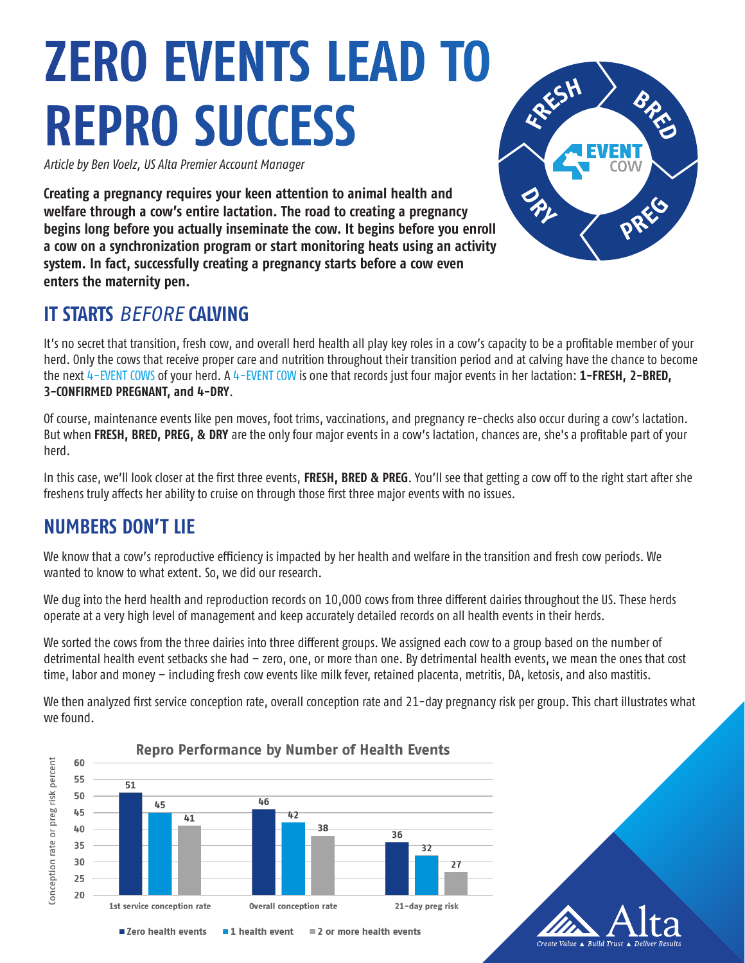# **ZERO EVENTS LEAD TO REPRO SUCCESS**

*Article by Ben Voelz, US Alta Premier Account Manager*

**Creating a pregnancy requires your keen attention to animal health and welfare through a cow's entire lactation. The road to creating a pregnancy begins long before you actually inseminate the cow. It begins before you enroll a cow on a synchronization program or start monitoring heats using an activity system. In fact, successfully creating a pregnancy starts before a cow even enters the maternity pen.**

## **IT STARTS** *BEFORE* **CALVING**

It's no secret that transition, fresh cow, and overall herd health all play key roles in a cow's capacity to be a profitable member of your herd. Only the cows that receive proper care and nutrition throughout their transition period and at calving have the chance to become the next 4-EVENT COWS of your herd. A 4-EVENT COW is one that records just four major events in her lactation: **1-FRESH, 2-BRED, 3-CONFIRMED PREGNANT, and 4-DRY**.

Of course, maintenance events like pen moves, foot trims, vaccinations, and pregnancy re-checks also occur during a cow's lactation. But when **FRESH, BRED, PREG, & DRY** are the only four major events in a cow's lactation, chances are, she's a profitable part of your herd.

In this case, we'll look closer at the first three events, **FRESH, BRED & PREG**. You'll see that getting a cow off to the right start after she freshens truly affects her ability to cruise on through those first three major events with no issues.

## **NUMBERS DON'T LIE**

We know that a cow's reproductive efficiency is impacted by her health and welfare in the transition and fresh cow periods. We wanted to know to what extent. So, we did our research.

We dug into the herd health and reproduction records on 10,000 cows from three different dairies throughout the US. These herds operate at a very high level of management and keep accurately detailed records on all health events in their herds.

We sorted the cows from the three dairies into three different groups. We assigned each cow to a group based on the number of detrimental health event setbacks she had – zero, one, or more than one. By detrimental health events, we mean the ones that cost time, labor and money – including fresh cow events like milk fever, retained placenta, metritis, DA, ketosis, and also mastitis.

We then analyzed first service conception rate, overall conception rate and 21-day pregnancy risk per group. This chart illustrates what we found.



# BARS